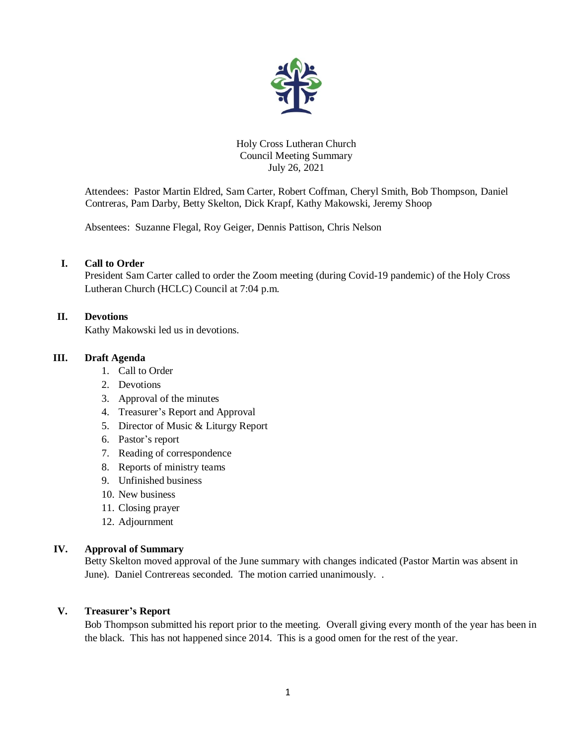

Holy Cross Lutheran Church Council Meeting Summary July 26, 2021

Attendees: Pastor Martin Eldred, Sam Carter, Robert Coffman, Cheryl Smith, Bob Thompson, Daniel Contreras, Pam Darby, Betty Skelton, Dick Krapf, Kathy Makowski, Jeremy Shoop

Absentees: Suzanne Flegal, Roy Geiger, Dennis Pattison, Chris Nelson

## **I. Call to Order**

President Sam Carter called to order the Zoom meeting (during Covid-19 pandemic) of the Holy Cross Lutheran Church (HCLC) Council at 7:04 p.m.

### **II. Devotions**

Kathy Makowski led us in devotions.

### **III. Draft Agenda**

- 1. Call to Order
- 2. Devotions
- 3. Approval of the minutes
- 4. Treasurer's Report and Approval
- 5. Director of Music & Liturgy Report
- 6. Pastor's report
- 7. Reading of correspondence
- 8. Reports of ministry teams
- 9. Unfinished business
- 10. New business
- 11. Closing prayer
- 12. Adjournment

#### **IV. Approval of Summary**

Betty Skelton moved approval of the June summary with changes indicated (Pastor Martin was absent in June). Daniel Contrereas seconded. The motion carried unanimously. .

## **V. Treasurer's Report**

Bob Thompson submitted his report prior to the meeting. Overall giving every month of the year has been in the black. This has not happened since 2014. This is a good omen for the rest of the year.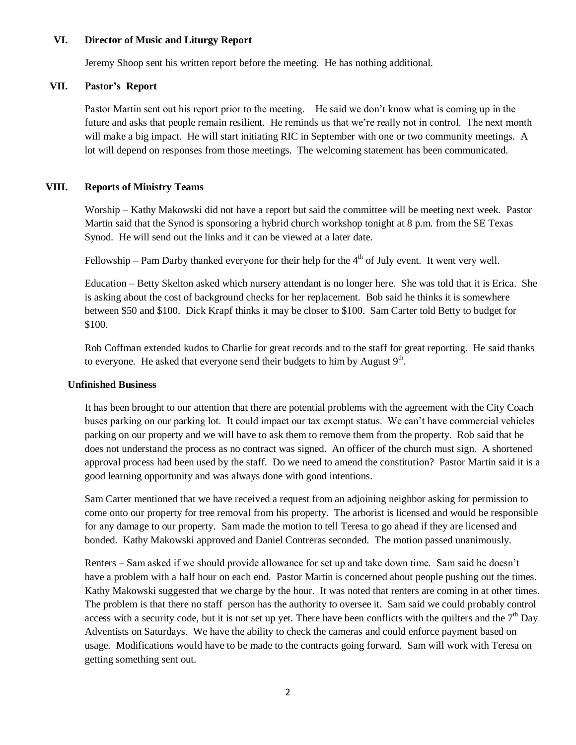### **VI. Director of Music and Liturgy Report**

Jeremy Shoop sent his written report before the meeting. He has nothing additional.

### **VII. Pastor's Report**

Pastor Martin sent out his report prior to the meeting. He said we don't know what is coming up in the future and asks that people remain resilient. He reminds us that we're really not in control. The next month will make a big impact. He will start initiating RIC in September with one or two community meetings. A lot will depend on responses from those meetings. The welcoming statement has been communicated.

### **VIII. Reports of Ministry Teams**

Worship – Kathy Makowski did not have a report but said the committee will be meeting next week. Pastor Martin said that the Synod is sponsoring a hybrid church workshop tonight at 8 p.m. from the SE Texas Synod. He will send out the links and it can be viewed at a later date.

Fellowship – Pam Darby thanked everyone for their help for the  $4<sup>th</sup>$  of July event. It went very well.

Education – Betty Skelton asked which nursery attendant is no longer here. She was told that it is Erica. She is asking about the cost of background checks for her replacement. Bob said he thinks it is somewhere between \$50 and \$100. Dick Krapf thinks it may be closer to \$100. Sam Carter told Betty to budget for \$100.

Rob Coffman extended kudos to Charlie for great records and to the staff for great reporting. He said thanks to everyone. He asked that everyone send their budgets to him by August  $9<sup>th</sup>$ .

#### **Unfinished Business**

It has been brought to our attention that there are potential problems with the agreement with the City Coach buses parking on our parking lot. It could impact our tax exempt status. We can't have commercial vehicles parking on our property and we will have to ask them to remove them from the property. Rob said that he does not understand the process as no contract was signed. An officer of the church must sign. A shortened approval process had been used by the staff. Do we need to amend the constitution? Pastor Martin said it is a good learning opportunity and was always done with good intentions.

Sam Carter mentioned that we have received a request from an adjoining neighbor asking for permission to come onto our property for tree removal from his property. The arborist is licensed and would be responsible for any damage to our property. Sam made the motion to tell Teresa to go ahead if they are licensed and bonded. Kathy Makowski approved and Daniel Contreras seconded. The motion passed unanimously.

Renters – Sam asked if we should provide allowance for set up and take down time. Sam said he doesn't have a problem with a half hour on each end. Pastor Martin is concerned about people pushing out the times. Kathy Makowski suggested that we charge by the hour. It was noted that renters are coming in at other times. The problem is that there no staff person has the authority to oversee it. Sam said we could probably control access with a security code, but it is not set up yet. There have been conflicts with the quilters and the  $7<sup>th</sup>$  Day Adventists on Saturdays. We have the ability to check the cameras and could enforce payment based on usage. Modifications would have to be made to the contracts going forward. Sam will work with Teresa on getting something sent out.